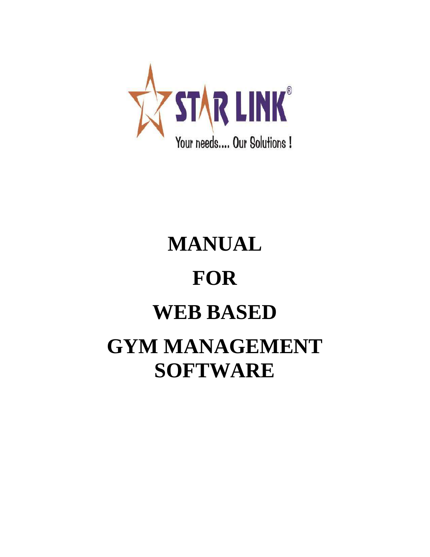

# **MANUAL FOR WEB BASED GYM MANAGEMENT SOFTWARE**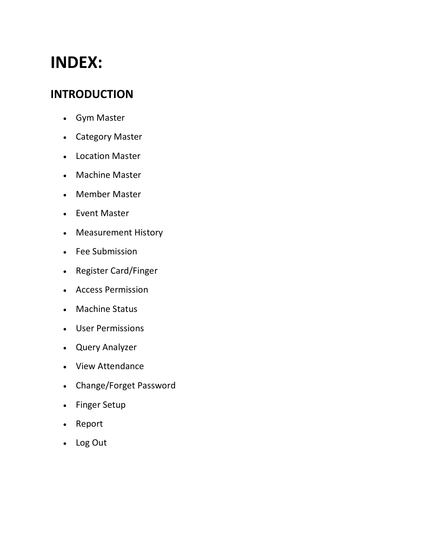## **INDEX:**

## **INTRODUCTION**

- Gym Master
- Category Master
- Location Master
- Machine Master
- Member Master
- Event Master
- Measurement History
- Fee Submission
- Register Card/Finger
- Access Permission
- Machine Status
- User Permissions
- Query Analyzer
- View Attendance
- Change/Forget Password
- Finger Setup
- Report
- Log Out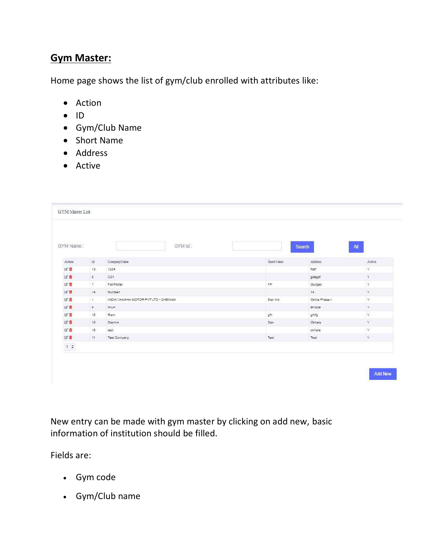## **Gym Master:**

Home page shows the list of gym/club enrolled with attributes like:

- Action
- $\bullet$  ID
- Gym/Club Name
- Short Name
- Address
- Active

| GYM Name:                                     |                      | GYM Id:                              |            | <b>Search</b> | All           |
|-----------------------------------------------|----------------------|--------------------------------------|------------|---------------|---------------|
|                                               |                      |                                      |            |               |               |
| Action                                        | Id                   | CompanyName                          | Short Name | Address       | Active        |
| 区盲                                            | 13                   | 1234                                 |            | fdsf          | $\mathbb {Y}$ |
| 区面                                            | $\,$ 8 $\,$          | CO1                                  |            | gdegdf        | Y             |
| 区面                                            | $\overline{7}$       | FairPortal                           | FP.        | Gurgao        | Ý             |
| 区面                                            | 14                   | fourteen                             |            | 14            | Y             |
| 区章                                            | $\ddot{\phantom{1}}$ | INDIA YAMAHA MOTOR PVT LTD - CHENNAI | Star link  | Okhla Phase-1 | $\mathbf Y$   |
| 区章                                            | 9                    | <b>MCA</b>                           |            | Bhopal        | Y.            |
| 図書                                            | 15 <sub>15</sub>     | Ram                                  | gfh        | gfnfg         | Y             |
| 区面                                            | 10                   | Starlink                             | Star       | Okhala        | Ÿ.            |
| 区直                                            | 16                   | test                                 |            | okhala        | Ÿ             |
| 区直                                            | 11                   | <b>Test Company</b>                  | Test       | Test          | Y.            |
| $\begin{array}{c c} \hline 1 & 2 \end{array}$ |                      |                                      |            |               |               |

New entry can be made with gym master by clicking on add new, basic information of institution should be filled.

Fields are:

- Gym code
- Gym/Club name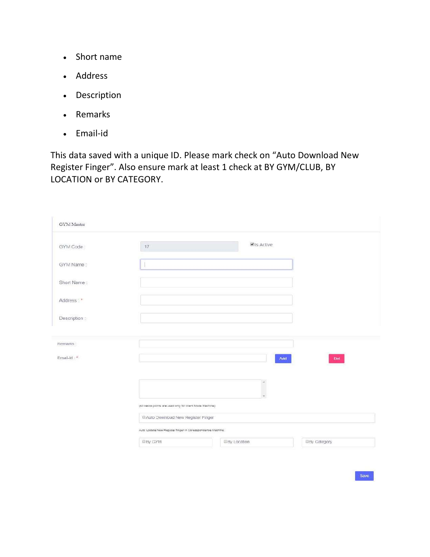- Short name
- Address
- Description
- Remarks
- Email-id

This data saved with a unique ID. Please mark check on "Auto Download New Register Finger". Also ensure mark at least 1 check at BY GYM/CLUB, BY LOCATION or BY CATEGORY.

| GYM Master    |                                                            |            |     |
|---------------|------------------------------------------------------------|------------|-----|
| GYM Code      | 17                                                         | Vis Active |     |
| GYM Name:     |                                                            |            |     |
| Short Name:   |                                                            |            |     |
| Address *     |                                                            |            |     |
| Description : |                                                            |            |     |
| Remarks:      |                                                            |            |     |
| Ernail-Id:    |                                                            | Add        | Det |
|               |                                                            |            |     |
|               |                                                            |            |     |
|               |                                                            | $\Delta$   |     |
|               | (All below points are used only for client Mode Machine).  |            |     |
|               | @Auto Download New Register Finger                         |            |     |
|               | Auto Update New Register finger in Coresspondence Machine: |            |     |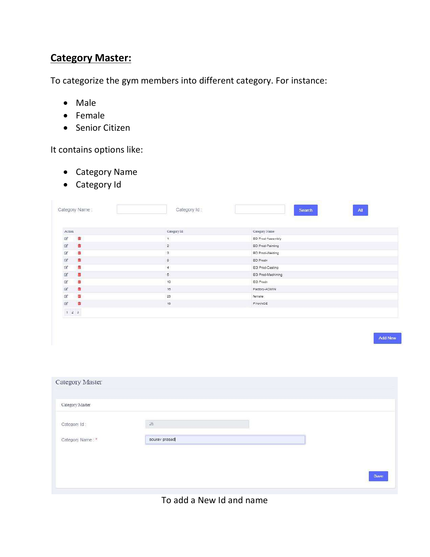## **Category Master:**

To categorize the gym members into different category. For instance:

- Male
- Female
- Senior Citizen

It contains options like:

- Category Name
- Category Id

|                         |                         | Category Id:            | All<br>Search           |
|-------------------------|-------------------------|-------------------------|-------------------------|
|                         |                         |                         |                         |
| Action                  |                         | Category Id             | Category Name           |
| 啓                       | 面                       | œ.                      | BD Prod-Assembly        |
| $\overline{\mathbb{R}}$ | 商                       | $\overline{\mathbf{2}}$ | <b>BD Prod-Painting</b> |
| $\mathbb{Z}$            | $\overline{\mathbf{u}}$ | $\mathbf{3}$            | BD Prod-Welding         |
| $\square$               | 面                       | $\circ$                 | <b>BD Prodn</b>         |
| $\overrightarrow{a}$    | 清                       | $\overline{4}$          | EG Prod-Casting         |
| $\Box$                  | 西                       | 5                       | EG Prod-Machining       |
| $\overline{\omega}$     | 商                       | 10                      | EG Prodn                |
| 12                      | 査                       | 18                      | Factory-ADMIN           |
| <b>C</b>                | 庙                       | $23\,$                  | female                  |
| $\alpha$                | 市                       | 18                      | FINANCE                 |
| 123                     |                         |                         |                         |

Add New

| Category Master  |               |      |
|------------------|---------------|------|
| Category Master  |               |      |
| Category Id:     | 25            |      |
| Category Name: * | sourav prasad |      |
|                  |               |      |
|                  |               | Save |
|                  |               |      |

#### To add a New Id and name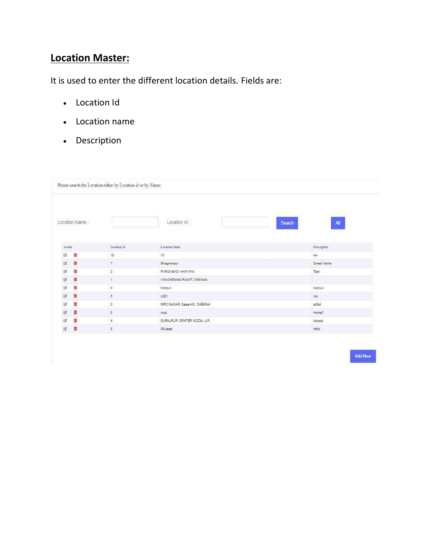## **Location Master:**

It is used to enter the different location details. Fields are:

- Location Id
- Location name
- Description

|                |                | Please search the Location either by Location id or by Name: |                              |                                          |
|----------------|----------------|--------------------------------------------------------------|------------------------------|------------------------------------------|
|                | Location Name: |                                                              | Location Id:                 | $\mathbf{A}\mathbf{II}$<br><b>Search</b> |
| Action         |                | Location Id                                                  | Location Name                | Description                              |
| <b>B</b>       | 啬              | 10                                                           | 10                           | ten                                      |
| 区              | 市              | $\overline{7}$                                               | Bhagwanpur                   | Sweet Home                               |
| $\mathbb{Z}^2$ | 商              | $\sqrt{2}$                                                   | FARIDABAD, HARYANA           | Test                                     |
| 团              | 盲              | $\ddagger$                                                   | IYM-CHENNAI PLANT, CHENNAI   |                                          |
| 筐              | Ġ              | $\mathbf 8$                                                  | Kanpur                       | Kanpur                                   |
| 國              | 市              | $\delta$                                                     | LCD1                         | mp                                       |
| 筐              | 商              | $\overline{\mathbf{3}}$                                      | MRC NAGAR, Sales HO, CHENNAI | sdfsd                                    |
| 図              | 童              | 6                                                            | muz                          | Home1                                    |
| ß              | 亩              | $\overline{4}$                                               | SURAJPUR, GRATER NOIDA, U.P. | looooo                                   |
|                |                |                                                              |                              | helio                                    |

Add New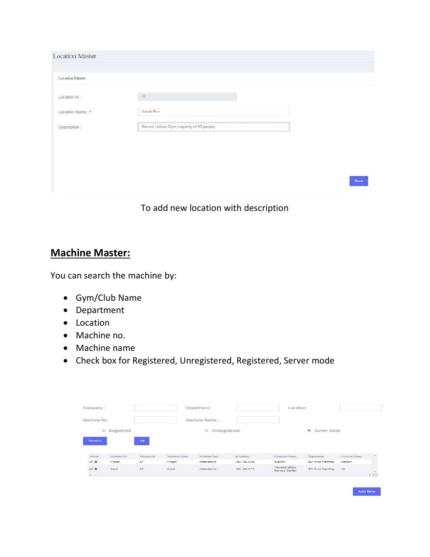| <b>Location Master</b> |                                          |      |
|------------------------|------------------------------------------|------|
| Location Master        |                                          |      |
| Location Id:           | $11$                                     |      |
| Location Name: *       | Janak Puri                               |      |
| Description:           | Banwic Unisex Gym, capactly of 50 people |      |
|                        |                                          |      |
|                        |                                          |      |
|                        |                                          |      |
|                        |                                          | Save |

To add new location with description

## **Machine Master:**

You can search the machine by:

- Gym/Club Name
- Department
- Location
- Machine no.
- Machine name
- Check box for Registered, Unregistered, Registered, Server mode

| Company:      |                  |                              | Department:  |                         |                                                      | Location:                      |                          |               |  |
|---------------|------------------|------------------------------|--------------|-------------------------|------------------------------------------------------|--------------------------------|--------------------------|---------------|--|
| Machine No:   |                  |                              |              | Machine Name            |                                                      |                                |                          |               |  |
|               | Registered<br>Ø. |                              |              | $\odot$<br>UnRegistered |                                                      |                                | <sup>®</sup> Server Mode |               |  |
|               |                  |                              |              |                         |                                                      |                                |                          |               |  |
| <b>Search</b> |                  |                              |              |                         |                                                      |                                |                          |               |  |
|               |                  | $\mathbf{A}$<br><u> — 19</u> |              |                         |                                                      |                                |                          |               |  |
| Action        | Machine No       | Machine (d)                  | Machine Name | Michine Type            | Ip Address                                           | Company Name                   | Department               | Location Name |  |
| 区面            | Finger           | 67                           | Finger       | Attendance              | 192.169.0.48                                         | Starlink                       | <b>BD Prod-Painting</b>  | Kanpur        |  |
| DF III        | Card             | $^{63}$                      | Card         | Attendance:             | <b>THE AT ESSEE THAT IN THE REAL</b><br>192.166.0.73 | Yamaha Motor<br>Service Center | <b>BD Prod-Painting</b>  | 10            |  |

Add New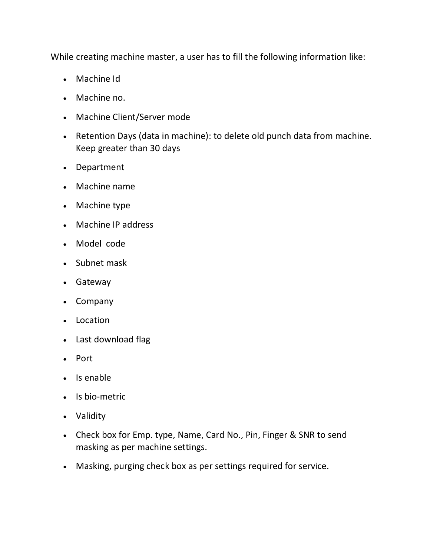While creating machine master, a user has to fill the following information like:

- Machine Id
- Machine no.
- Machine Client/Server mode
- Retention Days (data in machine): to delete old punch data from machine. Keep greater than 30 days
- Department
- Machine name
- Machine type
- Machine IP address
- Model code
- Subnet mask
- Gateway
- Company
- Location
- Last download flag
- Port
- Is enable
- Is bio-metric
- Validity
- Check box for Emp. type, Name, Card No., Pin, Finger & SNR to send masking as per machine settings.
- Masking, purging check box as per settings required for service.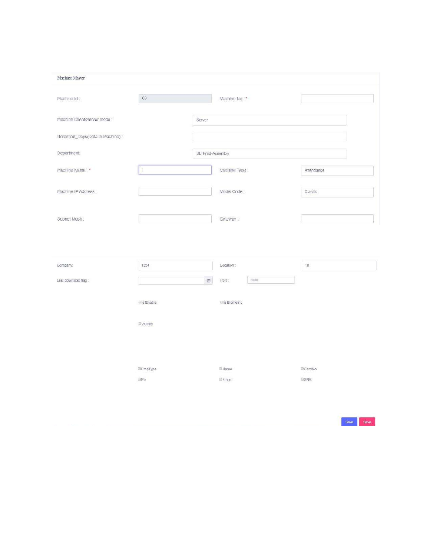| Machine Master                                   |                   |                  |                           |                |
|--------------------------------------------------|-------------------|------------------|---------------------------|----------------|
| Machine Id:                                      | 68                |                  | Machine No.: <sup>2</sup> |                |
| Machine Client/Server mode :-                    |                   | <b>Server</b>    |                           |                |
| Retention_Days(Data In Machine):                 |                   |                  |                           |                |
| Department:                                      |                   | BD Prod-Assembly |                           |                |
| Machine Name:                                    |                   |                  | Machine Type:             | Attendance     |
| Machine IP Address:                              |                   |                  | Model Code:               | Classic        |
|                                                  |                   |                  |                           |                |
|                                                  |                   |                  | Gateway:                  |                |
|                                                  | 1234              |                  | Location:                 | 10             |
|                                                  |                   | 茴                | 1065<br>Port.             |                |
|                                                  | <b>Bis Enable</b> |                  | <b>Ellis</b> Biometric    |                |
|                                                  | <b>Evalidity</b>  |                  |                           |                |
|                                                  |                   |                  |                           |                |
| Subnet Mask:<br>Company:<br>Last download flag : | <b>EmpType</b>    |                  | <b>EName</b>              | <b>ECardNo</b> |

Save Save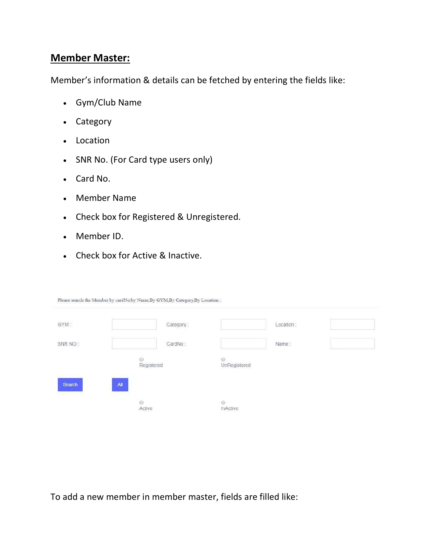### **Member Master:**

Member's information & details can be fetched by entering the fields like:

- Gym/Club Name
- Category
- Location
- SNR No. (For Card type users only)
- Card No.
- Member Name
- Check box for Registered & Unregistered.
- Member ID.
- Check box for Active & Inactive.

Please search the Member by cardNo,by Name,By GYM,By Category,By Location .

| GYM:                               |                                               | Category: |                            | Location: |  |
|------------------------------------|-----------------------------------------------|-----------|----------------------------|-----------|--|
| SNR NO:                            |                                               | CardNo:   |                            | Name:     |  |
|                                    | Ø<br>Registered                               |           | $\circ$<br>UnRegistered    |           |  |
| Search<br><u> Albanya yang per</u> | AII<br><u> Tanzania (h. 18</u><br>Ó<br>Active |           | $\circledcirc$<br>InActive |           |  |
|                                    |                                               |           |                            |           |  |

To add a new member in member master, fields are filled like: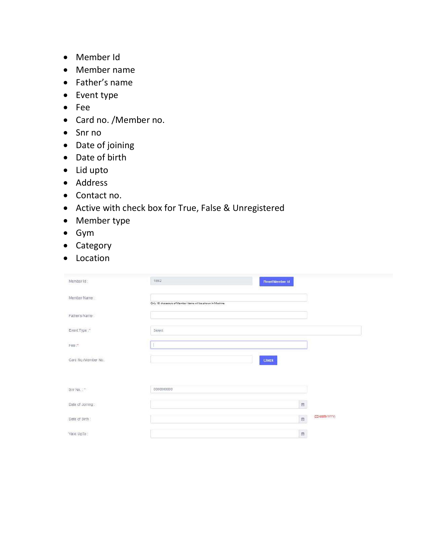- Member Id
- Member name
- Father's name
- Event type
- Fee
- Card no. /Member no.
- Snr no
- Date of joining
- Date of birth
- Lid upto
- Address
- Contact no.
- Active with check box for True, False & Unregistered
- Member type
- Gym
- Category
- Location

| Member Id:          | 1892<br>Reset Member Id                                     |           |                |
|---------------------|-------------------------------------------------------------|-----------|----------------|
| Member Name:        | Only 18 characters of Member Name will be shown in Machine. |           |                |
| Father's Name:      |                                                             |           |                |
| Event Type:"        | Select.                                                     |           |                |
| Fee:"               |                                                             |           |                |
| Card No./Member No. | Check                                                       |           |                |
|                     |                                                             |           |                |
| Shr No.: 1          | 0000000000                                                  |           |                |
| Date of Joining:    |                                                             | $\boxdot$ |                |
| Date of Birth:      |                                                             |           | (DD-MMM-YYYYY) |
| Valid UpTo:         |                                                             | $\Box$    |                |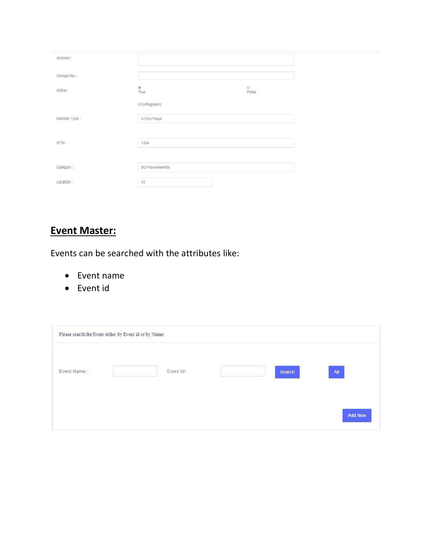| Address:     |                         |            |  |
|--------------|-------------------------|------------|--|
| Contact No.: |                         |            |  |
| Active:      | ®<br>True               | ©<br>False |  |
|              | <b>UnRegisterd</b>      |            |  |
| Member Type: | A-Cnly Finger           |            |  |
|              |                         |            |  |
| GYM:         | 1234                    |            |  |
|              |                         |            |  |
| Category:    | <b>BD Prod-Assembly</b> |            |  |
| Location     | 10:                     |            |  |

## **Event Master:**

Events can be searched with the attributes like:

- Event name
- Event id

|             | Please search the Event either by Event id or by Name: |           |        |                 |
|-------------|--------------------------------------------------------|-----------|--------|-----------------|
| Event Name: |                                                        | Event Id: | Search | $\overline{AB}$ |
|             |                                                        |           |        | <b>Add New</b>  |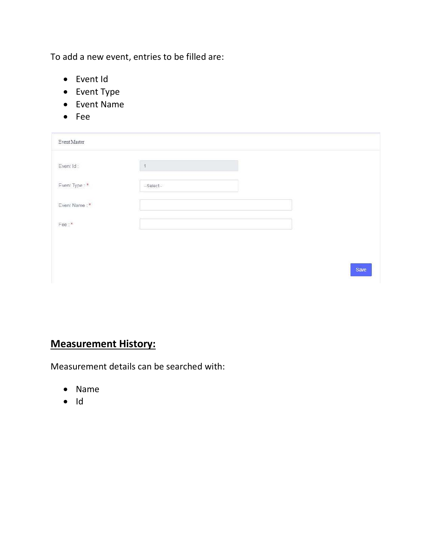To add a new event, entries to be filled are:

- Event Id
- Event Type
- Event Name
- Fee

| Event Master  |                |      |
|---------------|----------------|------|
| Event Id:     | $\overline{1}$ |      |
| Event Type: * | -Select-       |      |
| Event Name:*  |                |      |
| Fee:"         |                |      |
|               |                |      |
|               |                | Save |

## **Measurement History:**

Measurement details can be searched with:

- Name
- $\bullet$  Id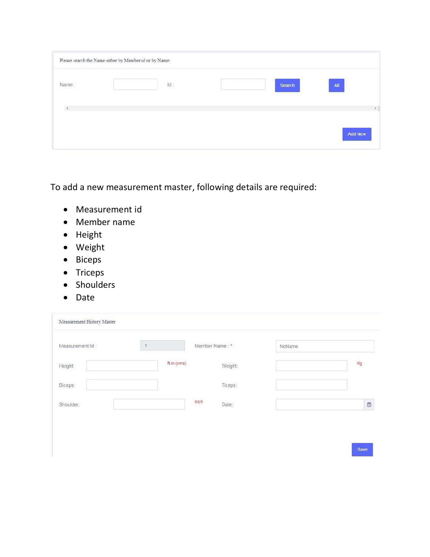|       | Please search the Name either by Member id or by Name: |     |        |                 |
|-------|--------------------------------------------------------|-----|--------|-----------------|
| Name: |                                                        | Id: | Search | $\overline{AB}$ |
|       |                                                        |     |        |                 |
|       |                                                        |     |        | <b>Add New</b>  |

To add a new measurement master, following details are required:

- Measurement id
- Member name
- Height
- Weight
- Biceps
- Triceps
- Shoulders
- Date

| Measurement Id: | $\overline{\phantom{a}}$ | Member Name: * | NoName |
|-----------------|--------------------------|----------------|--------|
| Height:         | ft.in.(cms)              | Weight:        | Kg     |
| Biceps:         |                          | Ticeps:        |        |
| Shoulder:       |                          | lnch<br>Date:  | Ö      |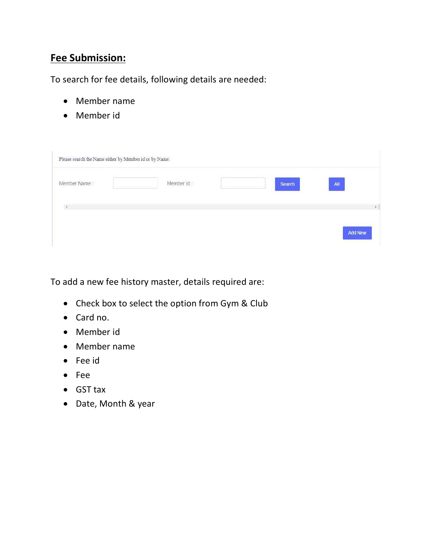## **Fee Submission:**

To search for fee details, following details are needed:

- Member name
- Member id

| Please search the Name either by Member id or by Name: |            |        |            |
|--------------------------------------------------------|------------|--------|------------|
| Member Name:                                           | Member Id: | Search | A          |
|                                                        |            |        | ×          |
|                                                        |            |        | <b>New</b> |

To add a new fee history master, details required are:

- Check box to select the option from Gym & Club
- Card no.
- Member id
- Member name
- Fee id
- Fee
- GST tax
- Date, Month & year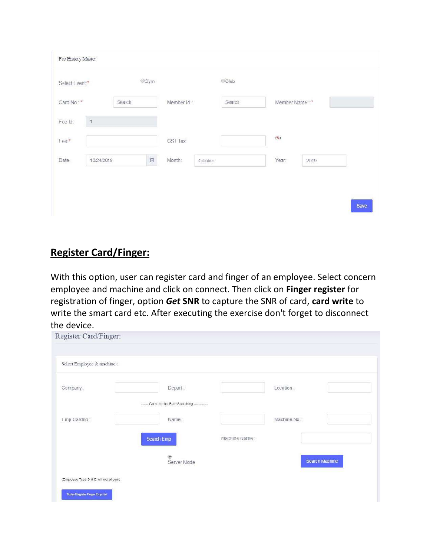| Select Event:* |            | ©ym                  |                 |         | Club   |                |      |  |
|----------------|------------|----------------------|-----------------|---------|--------|----------------|------|--|
| Card No: *     |            | Search               | Member Id:      |         | Search | Member Name: * |      |  |
| Fee Id:        | $\ddot{1}$ |                      |                 |         |        |                |      |  |
| Fee:*          |            |                      | <b>GST Tax:</b> |         |        | $(\%)$         |      |  |
| Date:          | 10/24/2019 | $\qquad \qquad \Box$ | Month:          | October |        | Year:          | 2019 |  |
|                |            |                      |                 |         |        |                |      |  |

## **Register Card/Finger:**

With this option, user can register card and finger of an employee. Select concern employee and machine and click on connect. Then click on **Finger register** for registration of finger, option *Get* **SNR** to capture the SNR of card, **card write** to write the smart card etc. After executing the exercise don't forget to disconnect the device.

| Register Card/Finger:                 |                                              |               |            |                       |
|---------------------------------------|----------------------------------------------|---------------|------------|-----------------------|
| Select Employee & machine:            |                                              |               |            |                       |
| Company:                              | Depart:                                      |               | Location:  |                       |
|                                       | ------ Common for Both Searching ----------- |               |            |                       |
| Emp Cardno:                           | Name.                                        |               | Machine No |                       |
|                                       | Search Emp                                   | Machine Name: |            |                       |
|                                       | Server Mode                                  |               |            | <b>Search Machine</b> |
| (Employee Type D & E will not shown)  |                                              |               |            |                       |
| <b>Today Register Finger Emp List</b> |                                              |               |            |                       |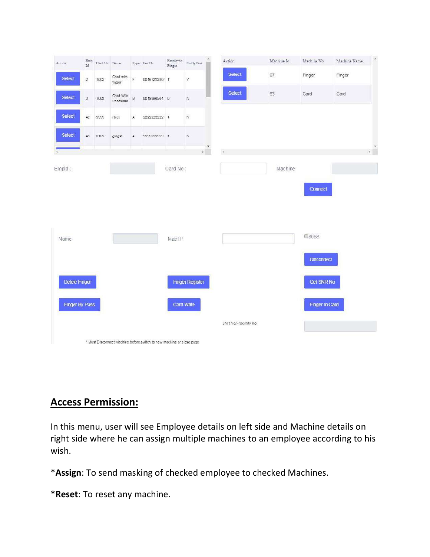|                | Emp<br>$\mathop{\rm Id}\nolimits$ | Card No Name |                       |             | ${\rm Type\,}$ Snr No | $\begin{array}{ll} \rm{Employee} \\ \rm{Finger} \end{array}$ | FinByPass              | $\Delta$                     | Action               | Machine Id | Machine No        | Machine Name | $\Delta$               |
|----------------|-----------------------------------|--------------|-----------------------|-------------|-----------------------|--------------------------------------------------------------|------------------------|------------------------------|----------------------|------------|-------------------|--------------|------------------------|
| Select         | $\overline{2}$                    | 1002         | Card with<br>finger   | F           | 0016722280 1          |                                                              | Y                      |                              | <b>Select</b>        | 67         | Finger            | Finger       |                        |
| <b>Select</b>  | $\sqrt{3}$                        | 1003         | Card With<br>Password | B           | 0019396564 0          |                                                              | $_{\rm N}$             |                              | <b>Select</b>        | 63         | Card              | Card         |                        |
| Select         | 42                                | 9999         | rtiret                | А           | 2222222222 1          |                                                              | $_{\rm N}$             |                              |                      |            |                   |              |                        |
| Select         | 43                                | 0102         | gidgsf                | $\mathbb A$ | 9999999999 1          |                                                              | $_{\rm N}$             |                              |                      |            |                   |              |                        |
|                |                                   |              |                       |             |                       |                                                              |                        | $\mathbf{v}$<br>$\mathbf{r}$ | $\mathcal{A}$        |            |                   |              | $\frac{\sigma}{\hbar}$ |
| Empld:         |                                   |              |                       |             |                       | Card No:                                                     |                        |                              |                      | Machine    |                   |              |                        |
|                |                                   |              |                       |             |                       |                                                              |                        |                              |                      |            | Connect           |              |                        |
|                |                                   |              |                       |             |                       |                                                              |                        |                              |                      |            |                   |              |                        |
|                |                                   |              |                       |             |                       |                                                              |                        |                              |                      |            |                   |              |                        |
|                |                                   |              |                       |             |                       |                                                              |                        |                              |                      |            |                   |              |                        |
| Name           |                                   |              |                       |             |                       | Mac IP                                                       |                        |                              |                      |            | <b>C8088</b>      |              |                        |
|                |                                   |              |                       |             |                       |                                                              |                        |                              |                      |            | <b>Disconnect</b> |              |                        |
| Delele Finger  |                                   |              |                       |             |                       |                                                              | <b>Finger Register</b> |                              |                      |            | <b>Get SNR No</b> |              |                        |
| Finger By Pass |                                   |              |                       |             |                       | <b>Card Write</b>                                            |                        |                              |                      |            | Finger In Card    |              |                        |
|                |                                   |              |                       |             |                       |                                                              |                        |                              | SNR No/Proximity No. |            |                   |              |                        |

## **Access Permission:**

In this menu, user will see Employee details on left side and Machine details on right side where he can assign multiple machines to an employee according to his wish.

\***Assign**: To send masking of checked employee to checked Machines.

\***Reset**: To reset any machine.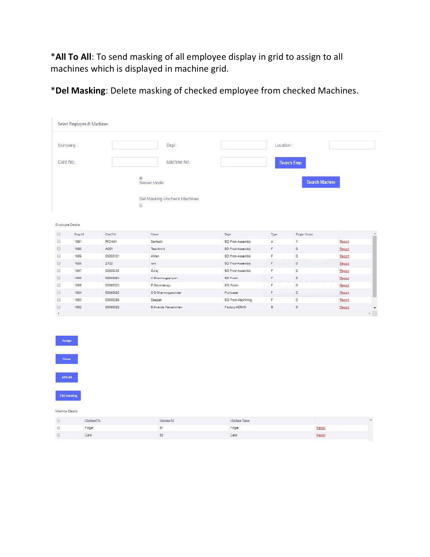\***All To All**: To send masking of all employee display in grid to assign to all machines which is displayed in machine grid.

\***Del Masking**: Delete masking of checked employee from checked Machines.

|                       |                  | Select Employee & Machines |                                                                         |                         |                |                |        |                         |
|-----------------------|------------------|----------------------------|-------------------------------------------------------------------------|-------------------------|----------------|----------------|--------|-------------------------|
|                       | Company:         |                            | Dept:                                                                   |                         | Location:      |                |        |                         |
|                       | Card No.:        |                            | Machine No:                                                             |                         |                | Search Emp     |        |                         |
|                       |                  |                            | $\langle 0 \rangle$<br>Server Mode<br>Del Masking Uncheck Machines<br>Ū |                         |                | Search Machine |        |                         |
|                       | Employee Details |                            |                                                                         |                         |                |                |        |                         |
| <b>D</b>              | EmpId            | Card No                    | Name                                                                    | Dept                    | Type           | Finger Count   |        |                         |
|                       | 1891             | RICHA1                     | Santosh                                                                 | BD Prod-Assembly        | $\mathbb A$    | $\ddot{1}$     | Report |                         |
|                       | 1890             | A001                       | Test-Amrit                                                              | <b>BD Prod-Assembly</b> | $\overline{r}$ | $\Omega$       | Report |                         |
|                       | 1889             | 00000101                   | AMan                                                                    | <b>BD Prod-Assembly</b> | F              | Ð              | Report |                         |
|                       | 1888             | Z122                       | revi                                                                    | <b>BD Prod-Assembly</b> | F              | $\circ$        | Report |                         |
| 5<br>画<br>画<br>Ð<br>D | 1887             | 00000230                   | Suraj                                                                   | <b>BD Prod-Assembly</b> | F.             | O.             | Report |                         |
|                       | 1886             | 00090024                   | K Shanmugapriyan                                                        | <b>BD Prodn</b>         | F              | $\circ$        | Report |                         |
| 回<br>O                | 1885             | 00090023                   | P Govindarsju                                                           | EG Prodn                | F              | $\overline{0}$ | Report |                         |
|                       | 1884             | 00090020                   | SS Shanmugasundar                                                       | Purhcase                | F              | $\circ$        | Report |                         |
| ö<br>$\Box$           | 1883             | 00000289                   | Deepsk                                                                  | EG Prod-Machining       | ε              | O.             | Report |                         |
| o                     | 1882             | 00090022                   | B Ananda Narasimhan                                                     | Factory-ADMIN           | B              | $\circ$        | Report | $\mathbb{E}[\,\cdot\,]$ |





Machine Details

| <b>Readerson N.T.</b>    | Markins 18<br>and the con- | Machine Name   |                             |
|--------------------------|----------------------------|----------------|-----------------------------|
| <b>Tongs</b><br>- 882 E. |                            | <b>Connect</b> | Report                      |
| .<br>Card                | - 334                      | Card           | Report<br><b>CONTRACTOR</b> |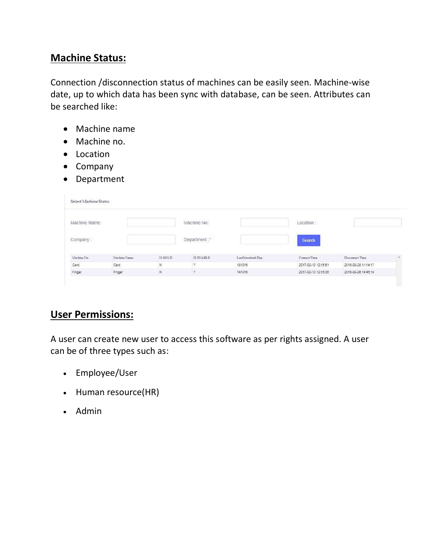## **Machine Status:**

Connection /disconnection status of machines can be easily seen. Machine-wise date, up to which data has been sync with database, can be seen. Attributes can be searched like:

- Machine name
- Machine no.
- Location
- Company
- Department

| Select Machine Status |               |                |                                     |                   |                                                                                                                                                                                                                                                |                     |          |
|-----------------------|---------------|----------------|-------------------------------------|-------------------|------------------------------------------------------------------------------------------------------------------------------------------------------------------------------------------------------------------------------------------------|---------------------|----------|
| Machine Name:         |               |                | Machine No:                         |                   | Location:                                                                                                                                                                                                                                      |                     |          |
| Company:              |               |                | Department:                         |                   | <b>All of the company of the company of the company of the company of the company of the company of the company of the company of the company of the company of the company of the company of the company of the company of the </b><br>Search |                     |          |
| Machine No.           | Machine Name: | IS HOLD        | and the company's com-<br>IS ENABLE | LastDounload Flag | Cornect Time                                                                                                                                                                                                                                   | Disconnact Time     | $\Delta$ |
| Card                  | Card          | $\overline{N}$ | $\mathbf{Y}$                        | 181016            | 2017-02-10 12:15:51                                                                                                                                                                                                                            | 2016-09-28 11:14:17 |          |
| Finger                | Finger        | $\mathbb{N}$   | Y                                   | 141016            | 2017-02-10 12:15:35                                                                                                                                                                                                                            | 2016-09-26 14:45:19 |          |

## **User Permissions:**

A user can create new user to access this software as per rights assigned. A user can be of three types such as:

- Employee/User
- Human resource(HR)
- Admin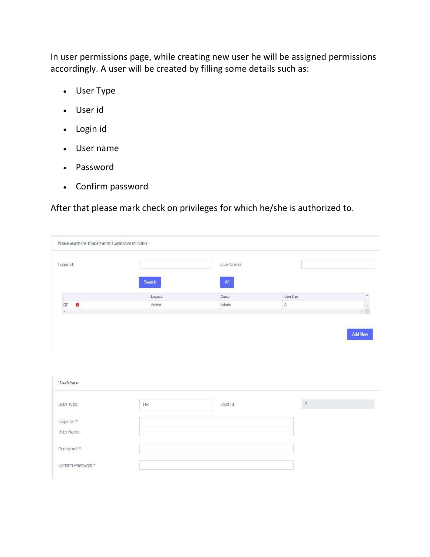In user permissions page, while creating new user he will be assigned permissions accordingly. A user will be created by filling some details such as:

- User Type
- User id
- Login id
- User name
- Password
- Confirm password

After that please mark check on privileges for which he/she is authorized to.

| Login Id:                 |        | user Name:      |               |  |
|---------------------------|--------|-----------------|---------------|--|
|                           | Search | $\mathbf{All}$  |               |  |
|                           | LogmId | $\mathrm{Name}$ | UserType      |  |
| 市<br>$\overrightarrow{a}$ | Admin  | Admin           | $\mathcal{A}$ |  |
|                           |        |                 |               |  |

| User Master<br>and the first control of the |    |          |              |
|---------------------------------------------|----|----------|--------------|
| User Type:                                  | HR | User Id. | $\mathbf{2}$ |
|                                             |    |          |              |
| Login Id: *<br>User Name:                   |    |          |              |
| Password:*                                  |    |          |              |
| Contin Password.*                           |    |          |              |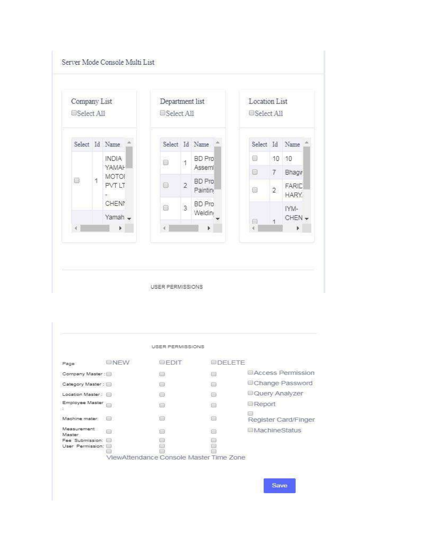



|                                     |             | <b>USER PERMISSIONS</b>                 |                 |                            |
|-------------------------------------|-------------|-----------------------------------------|-----------------|----------------------------|
| Page                                | <b>ONFW</b> | EFDIT                                   | <b>DIDELETE</b> |                            |
| Company Master:                     |             | he                                      | 6               | <b>ELAccess Permission</b> |
| Category Master:                    |             | 63                                      | B               | Change Password            |
| Location Master:                    |             | $\bigoplus$                             | $^{(0)}$        | Query Analyzer             |
| Employee Master                     |             | O)                                      | $\Box$          | Report                     |
| 52<br>Machine mater:                |             | 63                                      | $\Box$          | Register Card/Finger       |
| Measurement<br>Mester               | 上面          | e                                       | $\Box$          | <b>MachineStatus</b>       |
| Fee Submission:<br>User Permission: |             |                                         |                 |                            |
|                                     |             | ViewAttendance Console Master Time Zone |                 |                            |

Save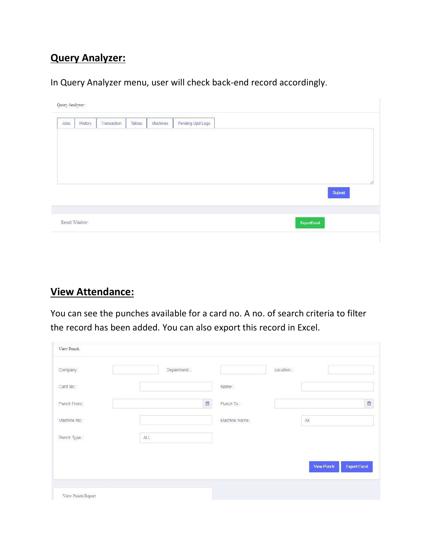## **Query Analyzer:**

In Query Analyzer menu, user will check back-end record accordingly.

| Submit | History | Transaction | Tables | Machines | Pending Upd Logs |  |
|--------|---------|-------------|--------|----------|------------------|--|
|        |         |             |        |          |                  |  |
|        |         |             |        |          |                  |  |
|        |         |             |        |          |                  |  |
|        |         |             |        |          |                  |  |
|        |         |             |        |          |                  |  |
|        |         |             |        |          |                  |  |

## **View Attendance:**

You can see the punches available for a card no. A no. of search criteria to filter the record has been added. You can also export this record in Excel.

| Company.    |    | Department: |                                               | Location: |                                   |
|-------------|----|-------------|-----------------------------------------------|-----------|-----------------------------------|
| Card No.:   |    |             | Name:                                         |           |                                   |
| Punch From: |    |             | $\qquad \qquad \  \  \, \boxdot$<br>Punch To: |           | $\Box$                            |
| Machine No: |    |             | Machine Name:                                 |           | $\mathbb{A}\mathbb{I}$            |
| Punch Type: | AI |             |                                               |           |                                   |
|             |    |             |                                               |           | <b>View Punch</b><br>Export Excel |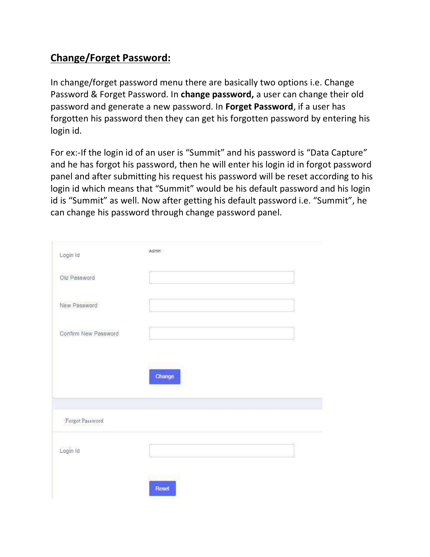## **Change/Forget Password:**

In change/forget password menu there are basically two options i.e. Change Password & Forget Password. In **change password,** a user can change their old password and generate a new password. In **Forget Password**, if a user has forgotten his password then they can get his forgotten password by entering his login id.

For ex:-If the login id of an user is "Summit" and his password is "Data Capture" and he has forgot his password, then he will enter his login id in forgot password panel and after submitting his request his password will be reset according to his login id which means that "Summit" would be his default password and his login id is "Summit" as well. Now after getting his default password i.e. "Summit", he can change his password through change password panel.

| Login Id             | Admin  |
|----------------------|--------|
| Old Password         |        |
| New Password         |        |
| Confirm New Password |        |
|                      | Change |
| Forgot Password      |        |
| Login Id             |        |
|                      | Reset  |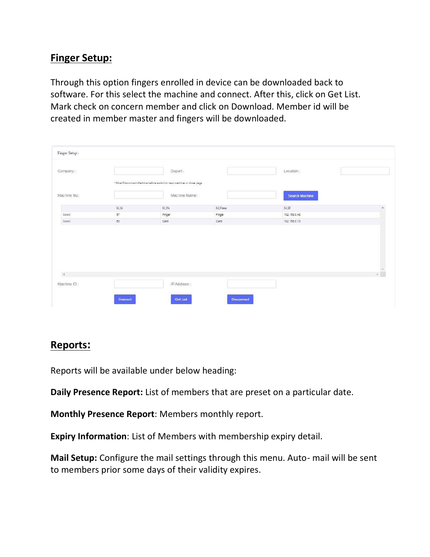## **Finger Setup:**

Through this option fingers enrolled in device can be downloaded back to software. For this select the machine and connect. After this, click on Get List. Mark check on concern member and click on Download. Member id will be created in member master and fingers will be downloaded.

| Company:      |                 | Depart:                                                              |        | Location :     |     |
|---------------|-----------------|----------------------------------------------------------------------|--------|----------------|-----|
|               |                 | * Must Disconnect Machine before switch to new machine or close page |        |                |     |
| Machine No.:  |                 | Machine Name:                                                        |        | Search Machine |     |
|               | $\mathbf{M}$ Id | $\rm M\,Na$                                                          | M Name | M.D            |     |
|               |                 |                                                                      |        |                |     |
| Select        | $67$            | Finger                                                               | Finger | 192.155.0.48   |     |
| Select        | 63              | Card                                                                 | Card   | 192.168.0.73   |     |
|               |                 |                                                                      |        |                |     |
|               |                 |                                                                      |        |                |     |
|               |                 |                                                                      |        |                |     |
| $\mathcal{A}$ |                 |                                                                      |        |                | . T |

## **Reports:**

Reports will be available under below heading:

**Daily Presence Report:** List of members that are preset on a particular date.

**Monthly Presence Report**: Members monthly report.

**Expiry Information**: List of Members with membership expiry detail.

**Mail Setup:** Configure the mail settings through this menu. Auto- mail will be sent to members prior some days of their validity expires.